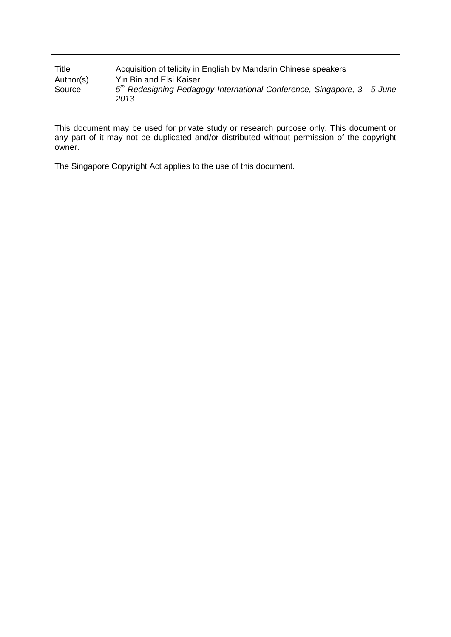| Title     | Acquisition of telicity in English by Mandarin Chinese speakers                              |
|-----------|----------------------------------------------------------------------------------------------|
| Author(s) | Yin Bin and Elsi Kaiser                                                                      |
| Source    | 5 <sup>th</sup> Redesigning Pedagogy International Conference, Singapore, 3 - 5 June<br>2013 |

This document may be used for private study or research purpose only. This document or any part of it may not be duplicated and/or distributed without permission of the copyright owner.

The Singapore Copyright Act applies to the use of this document.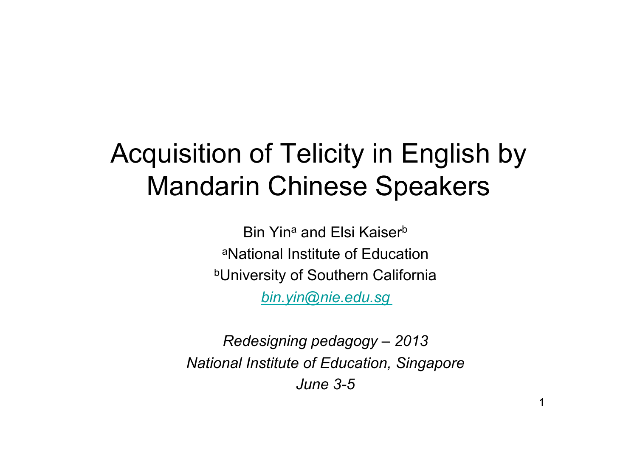#### Acquisition of Telicity in English by Mandarin Chinese Speakers

Bin Yin<sup>a</sup> and Elsi Kaiser<sup>b</sup> aNational Institute of Education **bUniversity of Southern California** *bin.yin@nie.edu.sg* 

*Redesigning pedagogy – 2013 National Institute of Education, Singapore June 3-5*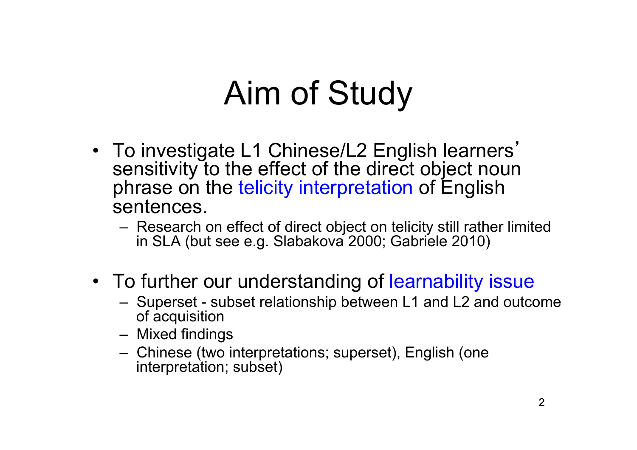#### Aim of Study

- To investigate L1 Chinese/L2 English learners' sensitivity to the effect of the direct object noun phrase on the telicity interpretation of English sentences.
	- Research on effect of direct object on telicity still rather limited in SLA (but see e.g. Slabakova 2000; Gabriele 2010)
- To further our understanding of learnability issue<br>– Superset subset relationship between L1 and L2 and outcome
	- of acquisition
	- Mixed findings
	- Chinese (two interpretations; superset), English (one interpretation; subset)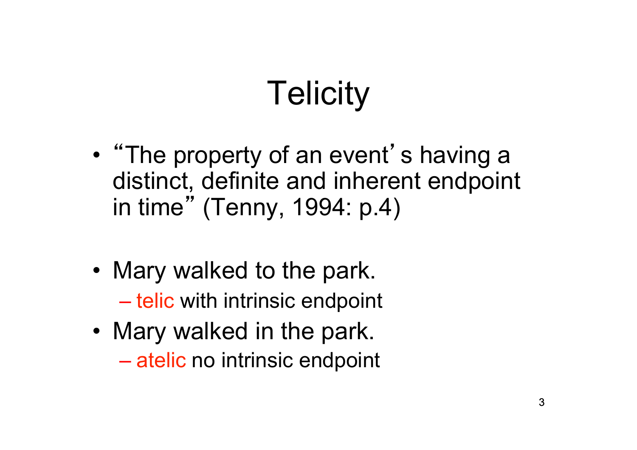# **Telicity**

- "The property of an event's having a distinct, definite and inherent endpoint in time" (Tenny, 1994: p.4)
- Mary walked to the park. – telic with intrinsic endpoint
- Mary walked in the park. – atelic no intrinsic endpoint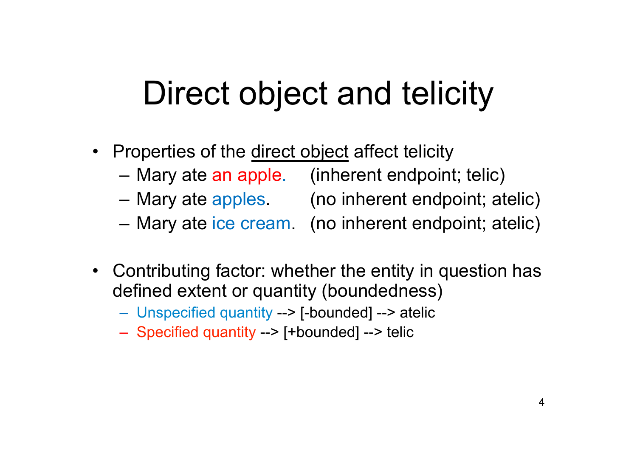#### Direct object and telicity

- Properties of the direct object affect telicity
	- Mary ate an apple. (inherent endpoint; telic)
	- Mary ate apples. (no inherent endpoint; atelic)
	- Mary ate ice cream. (no inherent endpoint; atelic)
- 
- Contributing factor: whether the entity in question has defined extent or quantity (boundedness)
	- Unspecified quantity --> [-bounded] --> atelic
	- Specified quantity --> [+bounded] --> telic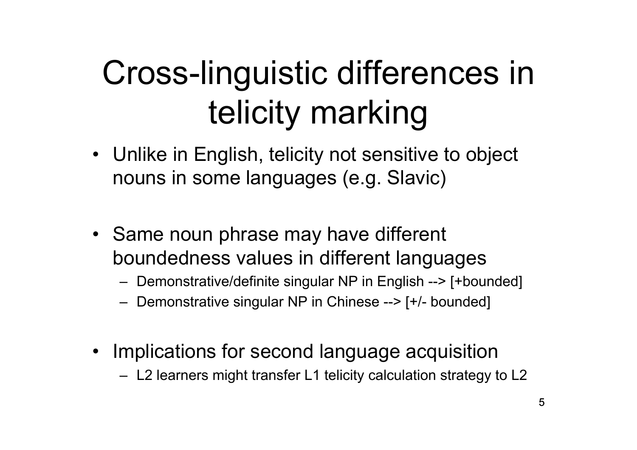#### Cross-linguistic differences in telicity marking

- Unlike in English, telicity not sensitive to object nouns in some languages (e.g. Slavic)
- Same noun phrase may have different boundedness values in different languages
	- Demonstrative/definite singular NP in English --> [+bounded]
	- Demonstrative singular NP in Chinese --> [+/- bounded]
- Implications for second language acquisition
	- L2 learners might transfer L1 telicity calculation strategy to L2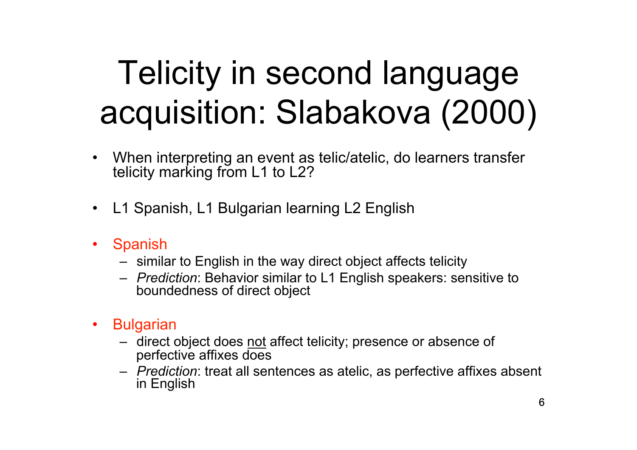### Telicity in second language acquisition: Slabakova (2000)

- When interpreting an event as telic/atelic, do learners transfer telicity marking from L1 to L2?
- L1 Spanish, L1 Bulgarian learning L2 English
- Spanish
	- similar to English in the way direct object affects telicity
	- *Prediction*: Behavior similar to L1 English speakers: sensitive to boundedness of direct object
- **Bulgarian** 
	- direct object does not affect telicity; presence or absence of perfective affixes does
	- *Prediction*: treat all sentences as atelic, as perfective affixes absent in English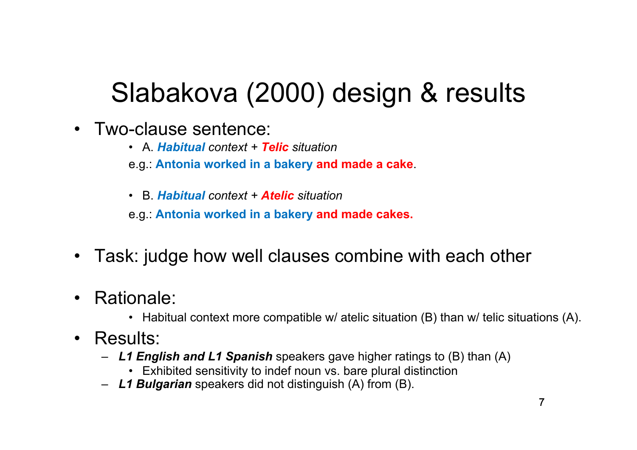#### Slabakova (2000) design & results

- Two-clause sentence:
	- A. *Habitual context + Telic situation*
	- e.g.: **Antonia worked in a bakery and made a cake**.
	- B. *Habitual context + Atelic situation*

e.g.: **Antonia worked in a bakery and made cakes.**

- Task: judge how well clauses combine with each other
- - Rationale:<br>• Habitual context more compatible w/ atelic situation (B) than w/ telic situations (A).
- Results:
	- *L1 English and L1 Spanish* speakers gave higher ratings to (B) than (A)
		- Exhibited sensitivity to indef noun vs. bare plural distinction
	- *L1 Bulgarian* speakers did not distinguish (A) from (B).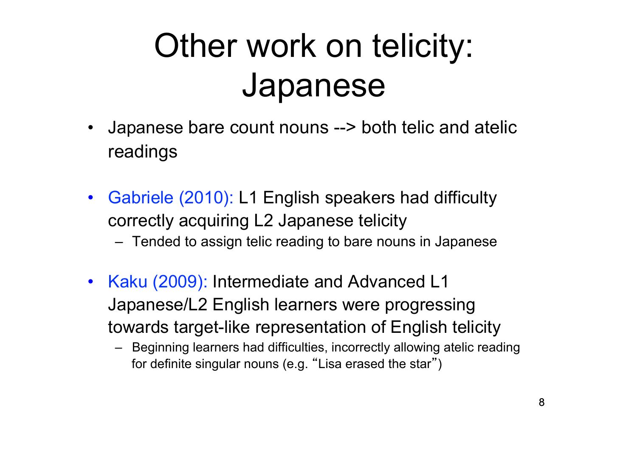#### Other work on telicity: Japanese

- Japanese bare count nouns --> both telic and atelic readings
- Gabriele (2010): L1 English speakers had difficulty correctly acquiring L2 Japanese telicity
	- Tended to assign telic reading to bare nouns in Japanese
- Kaku (2009): Intermediate and Advanced L1 Japanese/L2 English learners were progressing towards target-like representation of English telicity
	- Beginning learners had difficulties, incorrectly allowing atelic reading for definite singular nouns (e.g. "Lisa erased the star")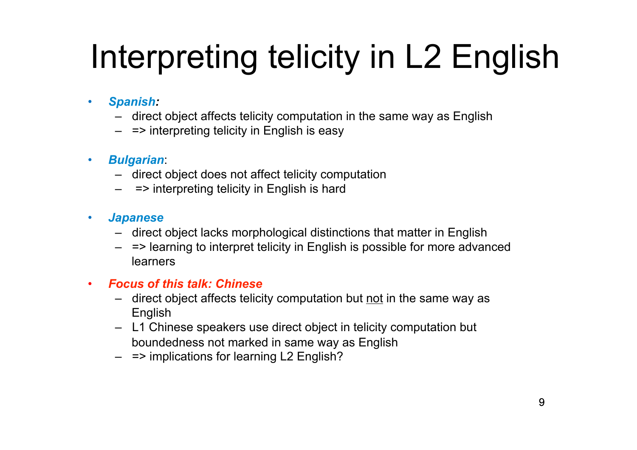# Interpreting telicity in L2 English

- *Spanish:* 
	- direct object affects telicity computation in the same way as English
	- $-$  => interpreting telicity in English is easy
- *Bulgarian*:
	- direct object does not affect telicity computation
	- $-$  => interpreting telicity in English is hard
- *Japanese* 
	- direct object lacks morphological distinctions that matter in English
	- => learning to interpret telicity in English is possible for more advanced learners

#### • *Focus of this talk: Chinese*

- direct object affects telicity computation but not in the same way as English
- L1 Chinese speakers use direct object in telicity computation but boundedness not marked in same way as English
- $-$  => implications for learning L2 English?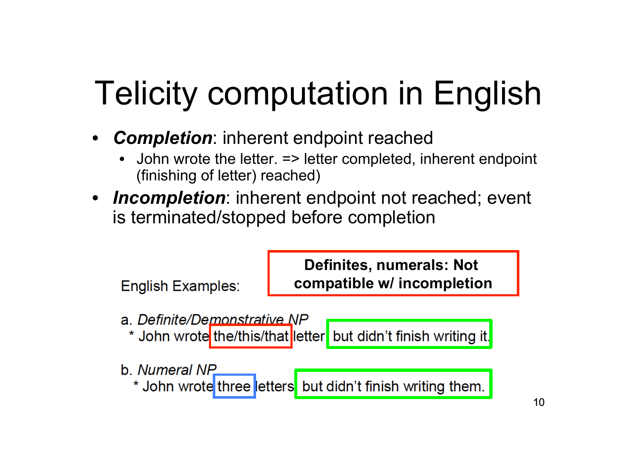# Telicity computation in English

- *Completion*: inherent endpoint reached
	- John wrote the letter. => letter completed, inherent endpoint (finishing of letter) reached)
- *Incompletion*: inherent endpoint not reached; event is terminated/stopped before completion

**English Examples:** 

**Definites, numerals: Not compatible w/ incompletion**

- a. Definite/Demonstrative NP
	- \* John wrote the/this/that letter but didn't finish writing it.
- b. Numeral NP

\* John wrote three etters but didn't finish writing them.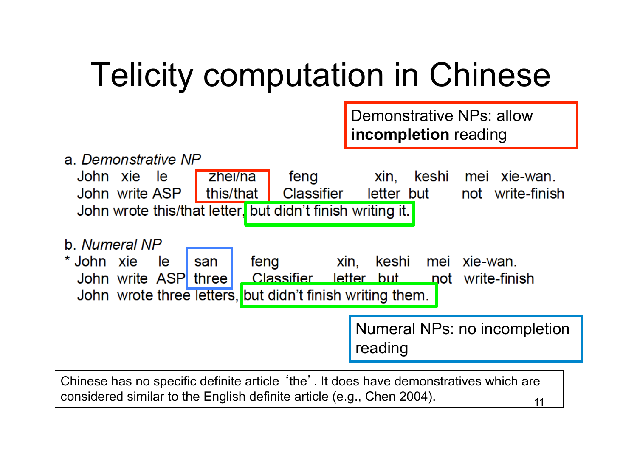#### Telicity computation in Chinese

|                                                                                                                                                                                                       | <b>Demonstrative NPs: allow</b><br>incompletion reading           |  |  |  |
|-------------------------------------------------------------------------------------------------------------------------------------------------------------------------------------------------------|-------------------------------------------------------------------|--|--|--|
| a. Demonstrative NP<br>John xie le<br>zhei/na<br>feng<br>$\blacksquare$ this/that $\blacksquare$<br><b>Classifier</b><br>John write ASP<br>John wrote this/that letter, but didn't finish writing it. | xin,<br>keshi<br>mei xie-wan.<br>not write-finish<br>letter but   |  |  |  |
| b. Numeral NP<br>* John xie<br>feng<br>le.<br>san<br>John write ASP three<br>John wrote three letters, but didn't finish writing them.                                                                | xin, keshi mei xie-wan.<br>Classifier letter but not write-finish |  |  |  |
|                                                                                                                                                                                                       | Numeral NPs: no incompletion<br>reading                           |  |  |  |
| Chinese has no specific definite article 'the'. It does have demonstratives which are<br>considered similar to the English definite article (e.g., Chen 2004).<br>11                                  |                                                                   |  |  |  |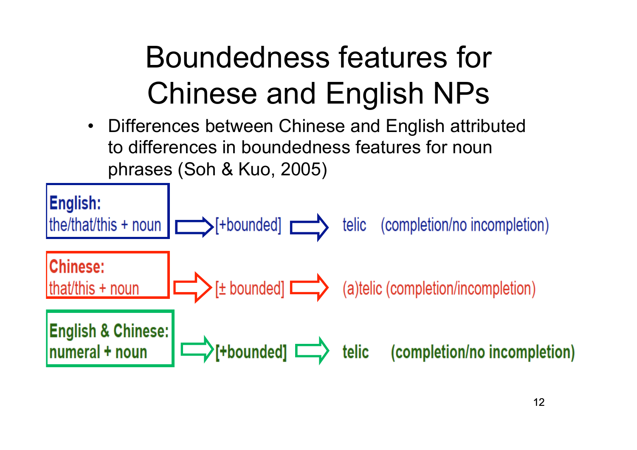#### Boundedness features for Chinese and English NPs

• Differences between Chinese and English attributed to differences in boundedness features for noun phrases (Soh & Kuo, 2005)

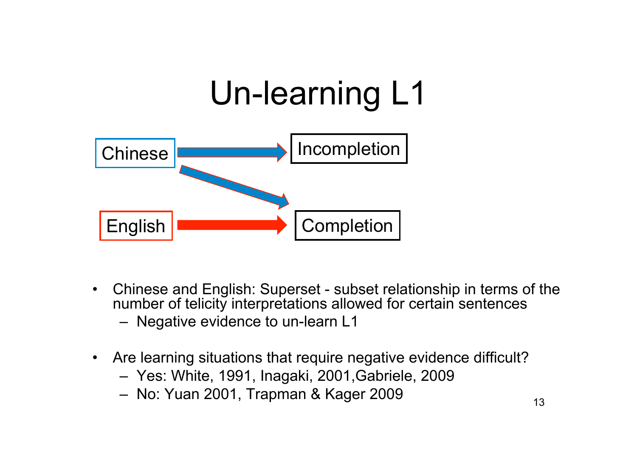

- Chinese and English: Superset subset relationship in terms of the number of telicity interpretations allowed for certain sentences
	- Negative evidence to un-learn L1
- Are learning situations that require negative evidence difficult?
	- Yes: White, 1991, Inagaki, 2001,Gabriele, 2009
	- No: Yuan 2001, Trapman & Kager 2009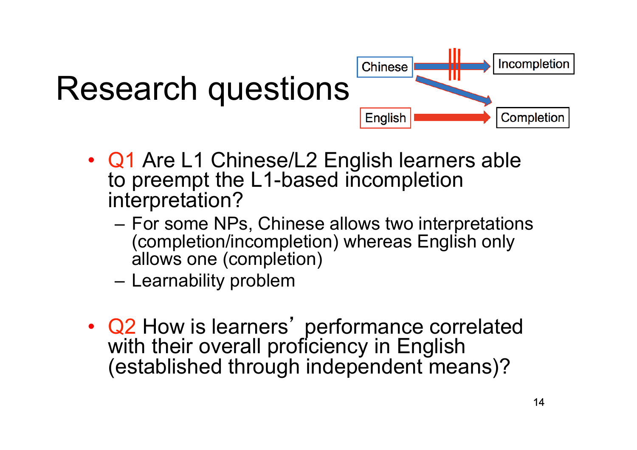

- Q1 Are L1 Chinese/L2 English learners able to preempt the L1-based incompletion interpretation?
	- For some NPs, Chinese allows two interpretations (completion/incompletion) whereas English only allows one (completion)
	- Learnability problem
- Q2 How is learners' performance correlated with their overall proficiency in English (established through independent means)?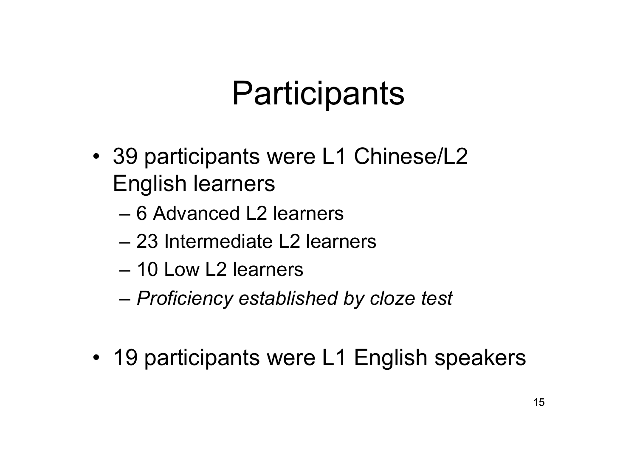#### **Participants**

- 39 participants were L1 Chinese/L2 English learners
	- 6 Advanced L2 learners
	- 23 Intermediate L2 learners
	- 10 Low L2 learners
	- *Proficiency established by cloze test*
- 19 participants were L1 English speakers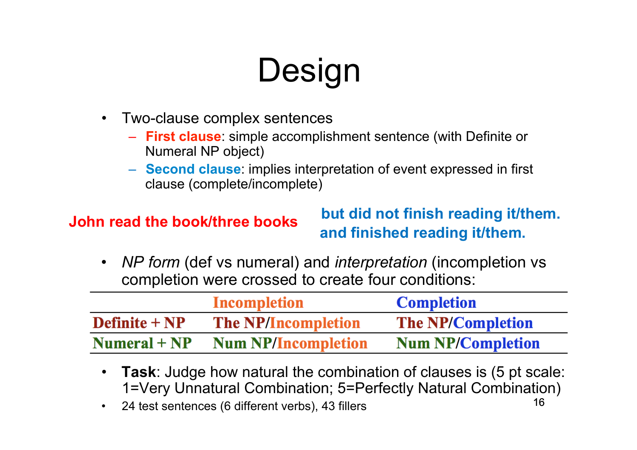# Design

- Two-clause complex sentences
	- **First clause**: simple accomplishment sentence (with Definite or Numeral NP object)
	- **Second clause**: implies interpretation of event expressed in first clause (complete/incomplete)

**John read the book/three books but did not finish reading it/them. and finished reading it/them.** 

• *NP form* (def vs numeral) and *interpretation* (incompletion vs completion were crossed to create four conditions:

|                 | Incompletion               | <b>Completion</b>        |
|-----------------|----------------------------|--------------------------|
| Definite $+ NP$ | <b>The NP/Incompletion</b> | <b>The NP/Completion</b> |
| $Numeral + NP$  | <b>Num NP/Incompletion</b> | <b>Num NP/Completion</b> |

- **Task**: Judge how natural the combination of clauses is (5 pt scale: 1=Very Unnatural Combination; 5=Perfectly Natural Combination)
- 24 test sentences (6 different verbs), 43 fillers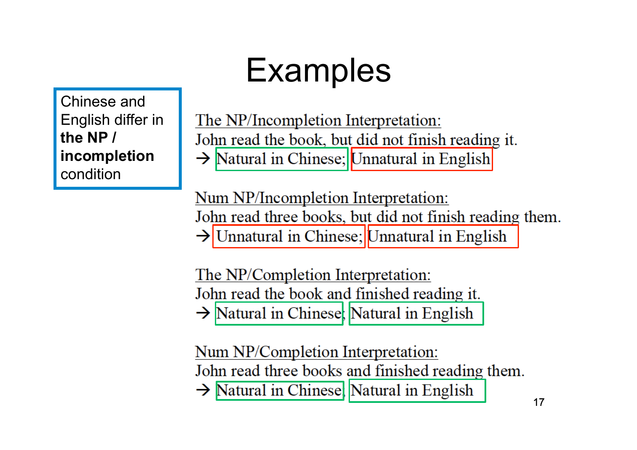### **Examples**

Chinese and English differ in **the NP / incompletion**  condition

The NP/Incompletion Interpretation: John read the book, but did not finish reading it.  $\rightarrow$  Natural in Chinese; Unnatural in English

Num NP/Incompletion Interpretation: John read three books, but did not finish reading them.  $\rightarrow$  Unnatural in Chinese; Unnatural in English

The NP/Completion Interpretation: John read the book and finished reading it.  $\rightarrow$  Natural in Chinese, Natural in English

Num NP/Completion Interpretation: John read three books and finished reading them.  $\rightarrow$  Natural in Chinese, Natural in English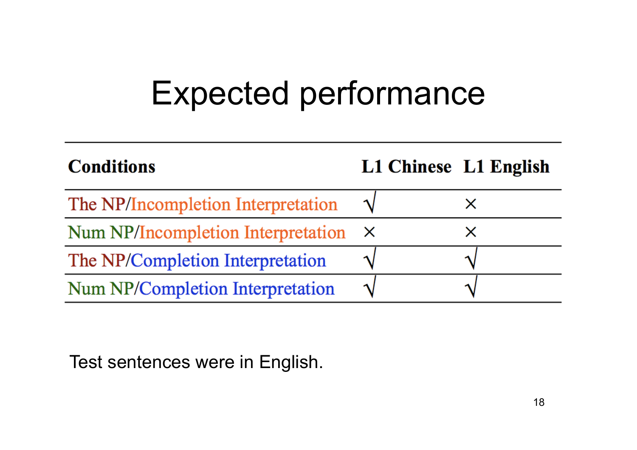#### Expected performance

| <b>Conditions</b>                  |   | L1 Chinese L1 English |
|------------------------------------|---|-----------------------|
| The NP/Incompletion Interpretation |   |                       |
| Num NP/Incompletion Interpretation | X |                       |
| The NP/Completion Interpretation   |   |                       |
| Num NP/Completion Interpretation   |   |                       |

Test sentences were in English.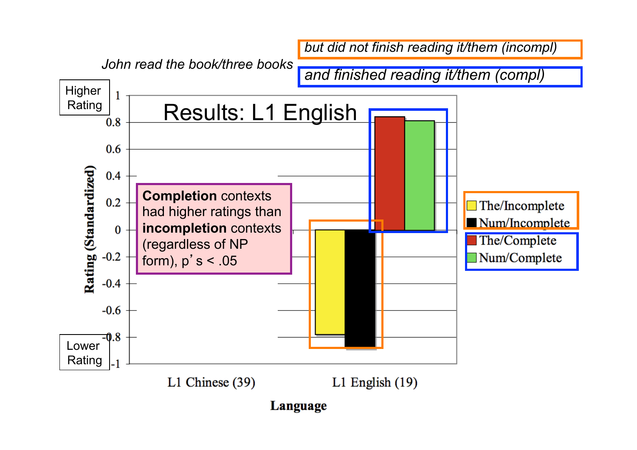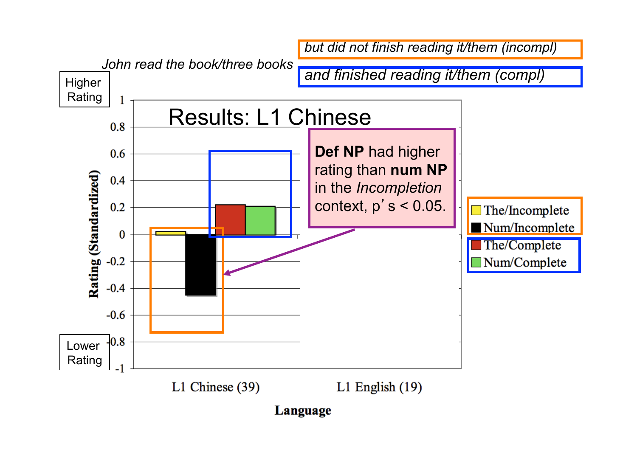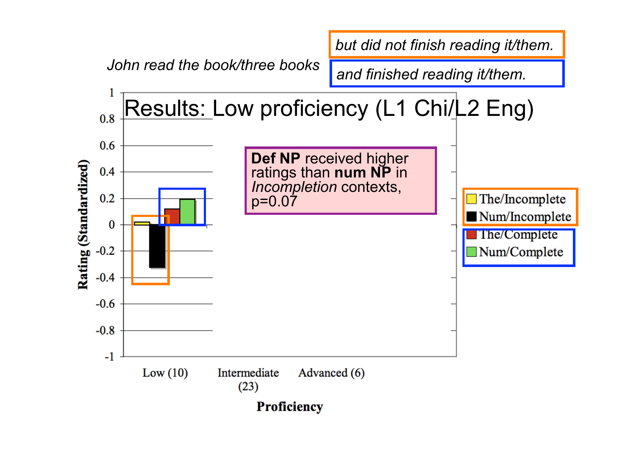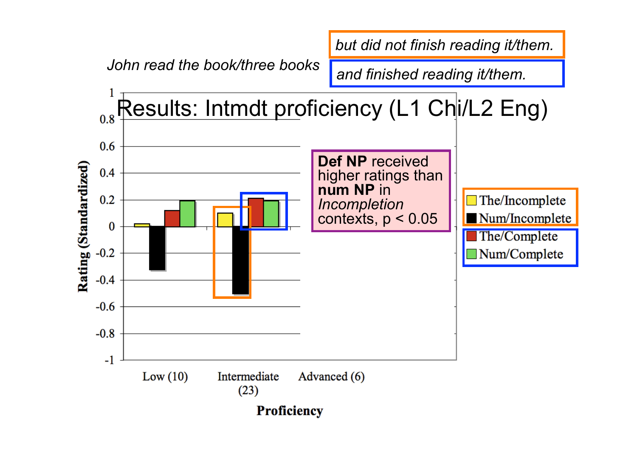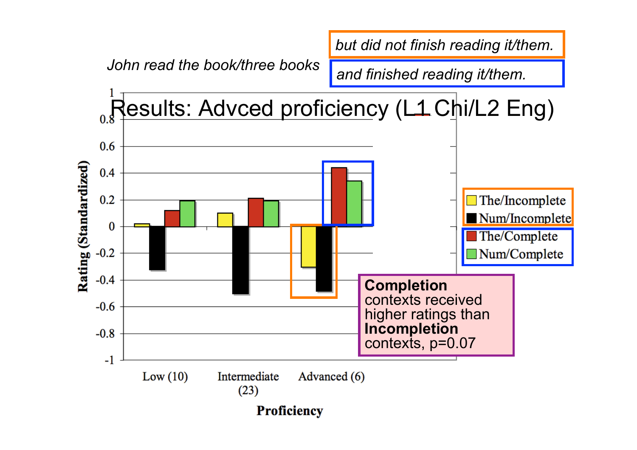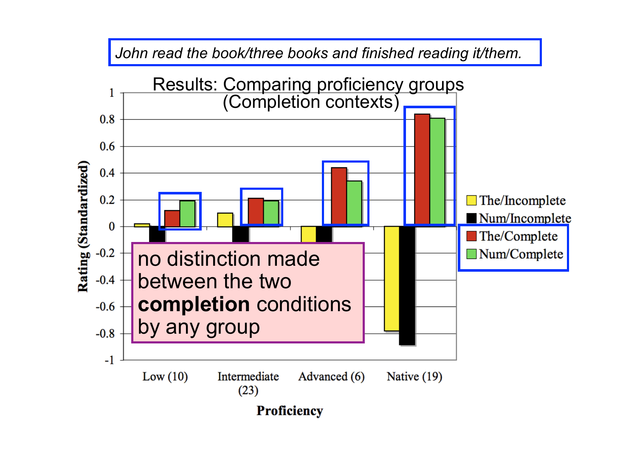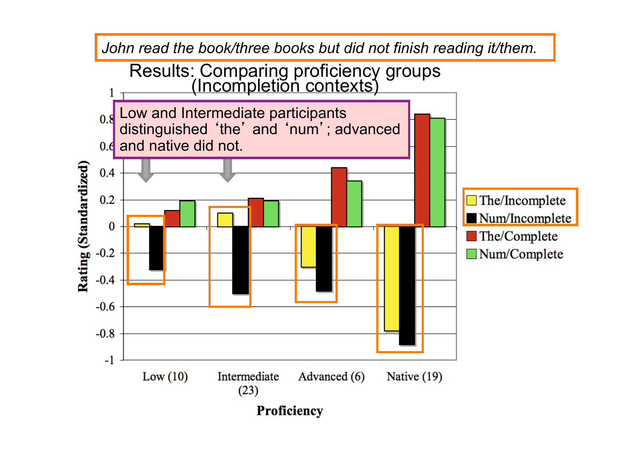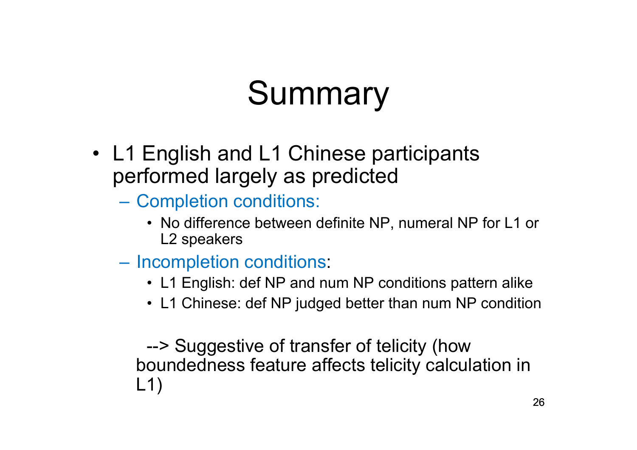### Summary

- L1 English and L1 Chinese participants performed largely as predicted
	- Completion conditions:
		- No difference between definite NP, numeral NP for L1 or L2 speakers
	- Incompletion conditions:
		- L1 English: def NP and num NP conditions pattern alike
		- L1 Chinese: def NP judged better than num NP condition

--> Suggestive of transfer of telicity (how boundedness feature affects telicity calculation in L1)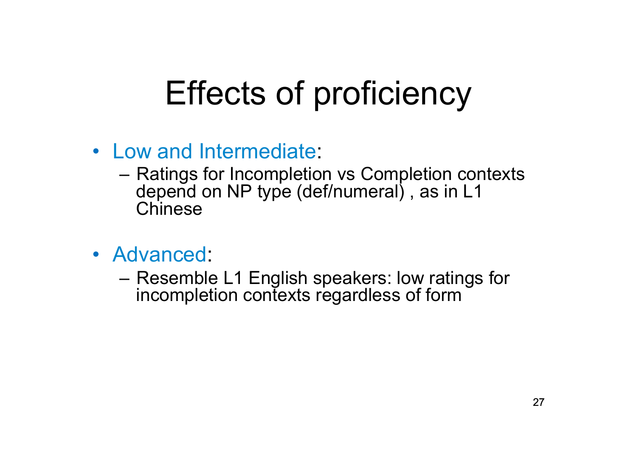#### Effects of proficiency

- Low and Intermediate:
	- Ratings for Incompletion vs Completion contexts depend on NP type (def/numeral) , as in L1 **Chinese**
- Advanced:
	- Resemble L1 English speakers: low ratings for incompletion contexts regardless of form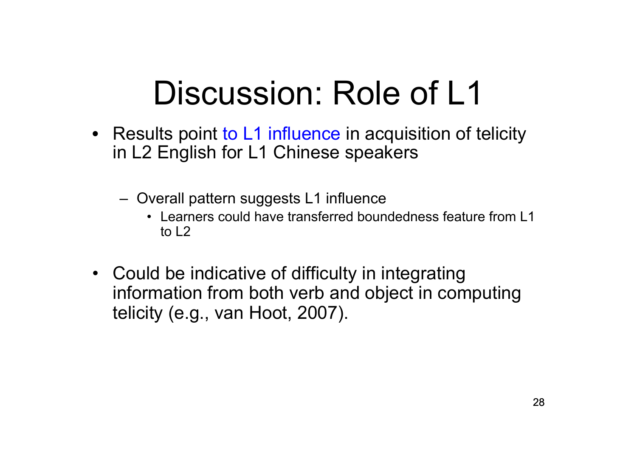#### Discussion: Role of L1

- Results point to L1 influence in acquisition of telicity in L2 English for L1 Chinese speakers
	- Overall pattern suggests L1 influence
		- Learners could have transferred boundedness feature from L1 to L2
- Could be indicative of difficulty in integrating information from both verb and object in computing telicity (e.g., van Hoot, 2007).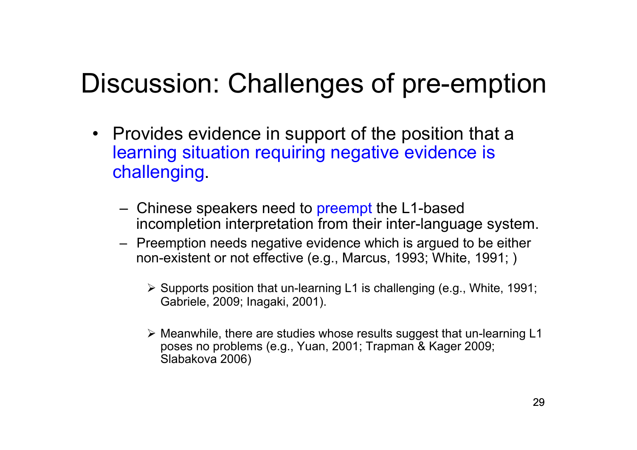#### Discussion: Challenges of pre-emption

- Provides evidence in support of the position that a learning situation requiring negative evidence is challenging.
	- Chinese speakers need to preempt the L1-based incompletion interpretation from their inter-language system.
	- Preemption needs negative evidence which is argued to be either non-existent or not effective (e.g., Marcus, 1993; White, 1991; )
		- $\triangleright$  Supports position that un-learning L1 is challenging (e.g., White, 1991; Gabriele, 2009; Inagaki, 2001).
		- $\triangleright$  Meanwhile, there are studies whose results suggest that un-learning L1 poses no problems (e.g., Yuan, 2001; Trapman & Kager 2009; Slabakova 2006)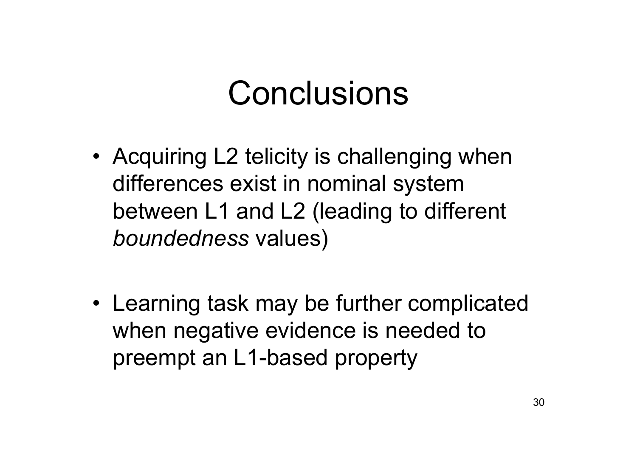#### Conclusions

- Acquiring L2 telicity is challenging when differences exist in nominal system between L1 and L2 (leading to different *boundedness* values)
- Learning task may be further complicated when negative evidence is needed to preempt an L1-based property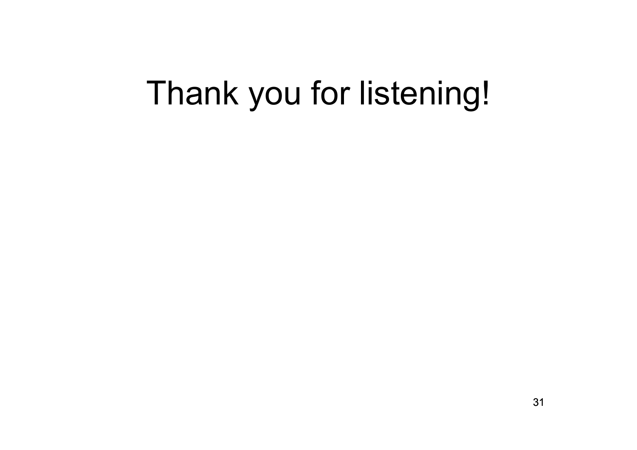#### Thank you for listening!